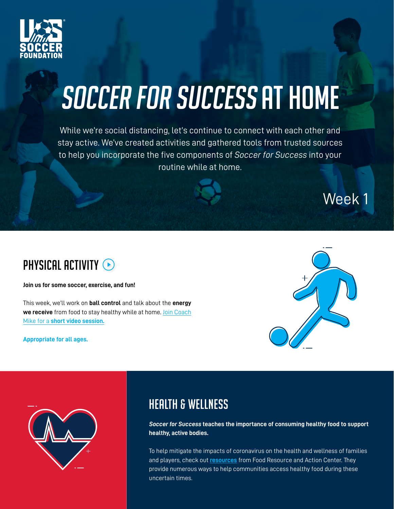

# SOCCER FOR SUCCESS AT HOME

While we're social distancing, let's continue to connect with each other and stay active. We've created activities and gathered tools from trusted sources to help you incorporate the five components of *Soccer for Success* into your routine while at home.





**Join us for some soccer, exercise, and fun!** 

This week, we'll work on **ball control** and talk about the **energy we receive** from food to stay healthy while at home. [Join Coach](https://www.youtube.com/watch?v=mbyxfRJvdMQ&feature=youtu.be) Mike for a **[short video session.](https://www.youtube.com/watch?v=mbyxfRJvdMQ&feature=youtu.be)**

**Appropriate for all ages.**





#### **HEALTH & WELLNESS**

**Soccer for Success teaches the importance of consuming healthy food to support healthy, active bodies.** 

To help mitigate the impacts of coronavirus on the health and wellness of families and players, check out **[resources](https://frac.org/COVID-19-updates)** from Food Resource and Action Center. They provide numerous ways to help communities access healthy food during these uncertain times.